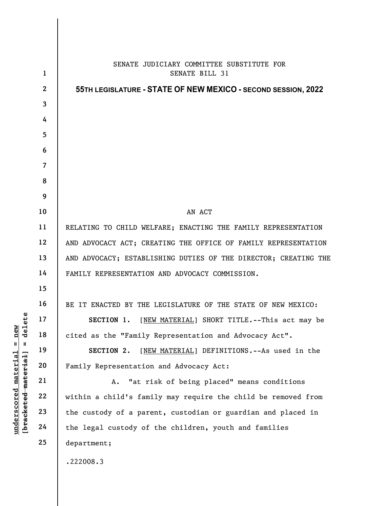|                                     | $\mathbf{1}$   | SENATE JUDICIARY COMMITTEE SUBSTITUTE FOR<br>SENATE BILL 31     |
|-------------------------------------|----------------|-----------------------------------------------------------------|
|                                     | $\mathbf{2}$   | 55TH LEGISLATURE - STATE OF NEW MEXICO - SECOND SESSION, 2022   |
|                                     | $\mathbf{3}$   |                                                                 |
|                                     | 4              |                                                                 |
|                                     | 5              |                                                                 |
|                                     | 6              |                                                                 |
|                                     | $\overline{7}$ |                                                                 |
|                                     | 8              |                                                                 |
|                                     | 9              |                                                                 |
|                                     | 10             | AN ACT                                                          |
|                                     | 11             | RELATING TO CHILD WELFARE; ENACTING THE FAMILY REPRESENTATION   |
|                                     | 12             | AND ADVOCACY ACT; CREATING THE OFFICE OF FAMILY REPRESENTATION  |
|                                     | 13             | AND ADVOCACY; ESTABLISHING DUTIES OF THE DIRECTOR; CREATING THE |
|                                     | 14             | FAMILY REPRESENTATION AND ADVOCACY COMMISSION.                  |
|                                     | 15             |                                                                 |
| delete                              | 16             | BE IT ENACTED BY THE LEGISLATURE OF THE STATE OF NEW MEXICO:    |
|                                     | 17             | SECTION 1. [NEW MATERIAL] SHORT TITLE. -- This act may be       |
| new                                 | 18             | cited as the "Family Representation and Advocacy Act".          |
| $\mathsf{u}$<br>$\mathbf{I}$        | 19             | [NEW MATERIAL] DEFINITIONS. -- As used in the<br>SECTION 2.     |
| <u>material</u>                     | 20             | Family Representation and Advocacy Act:                         |
|                                     | 21             | "at risk of being placed" means conditions<br>Α.                |
| [bracketed-material]<br>underscored | 22             | within a child's family may require the child be removed from   |
|                                     | 23             | the custody of a parent, custodian or guardian and placed in    |
|                                     | 24             | the legal custody of the children, youth and families           |
|                                     | 25             | department;                                                     |
|                                     |                | .222008.3                                                       |
|                                     |                |                                                                 |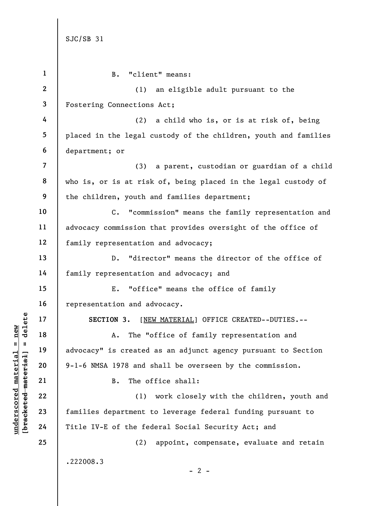|                                 | $\mathbf{1}$             | $B$ .<br>"client" means:                                           |
|---------------------------------|--------------------------|--------------------------------------------------------------------|
|                                 | $\mathbf{2}$             | an eligible adult pursuant to the<br>(1)                           |
|                                 | $\mathbf{3}$             | Fostering Connections Act;                                         |
|                                 | 4                        | (2)<br>a child who is, or is at risk of, being                     |
|                                 | 5                        | placed in the legal custody of the children, youth and families    |
|                                 | 6                        | department; or                                                     |
|                                 | $\overline{\mathcal{L}}$ | a parent, custodian or guardian of a child<br>(3)                  |
|                                 | 8                        | who is, or is at risk of, being placed in the legal custody of     |
|                                 | 9                        | the children, youth and families department;                       |
|                                 | 10                       | "commission" means the family representation and<br>$\mathsf{c}$ . |
|                                 | 11                       | advocacy commission that provides oversight of the office of       |
|                                 | 12                       | family representation and advocacy;                                |
|                                 | 13                       | "director" means the director of the office of<br>$D$ .            |
|                                 | 14                       | family representation and advocacy; and                            |
|                                 | 15                       | "office" means the office of family<br>Ε.                          |
|                                 | 16                       | representation and advocacy.                                       |
| delete                          | 17                       | SECTION 3. [NEW MATERIAL] OFFICE CREATED--DUTIES.--                |
| new                             | 18                       | The "office of family representation and<br>Α.                     |
| Ш<br>Ш                          | 19                       | advocacy" is created as an adjunct agency pursuant to Section      |
| material<br>[bracketed material | 20                       | 9-1-6 NMSA 1978 and shall be overseen by the commission.           |
|                                 | 21                       | The office shall:<br><b>B.</b>                                     |
| $underscore$                    | 22                       | work closely with the children, youth and<br>(1)                   |
|                                 | 23                       | families department to leverage federal funding pursuant to        |
|                                 | 24                       | Title IV-E of the federal Social Security Act; and                 |
|                                 | 25                       | (2)<br>appoint, compensate, evaluate and retain                    |
|                                 |                          | .222008.3                                                          |
|                                 |                          | $-2-$                                                              |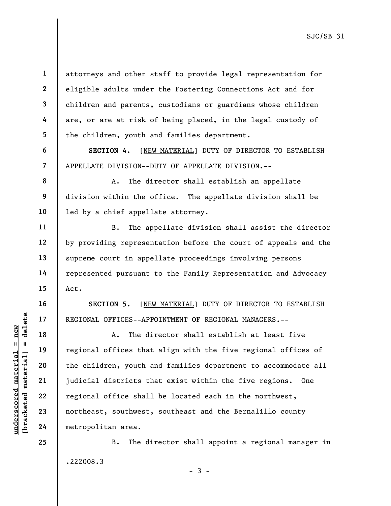4 5 6

7

8

9

10

11

12

13

14

15

16

17

18

19

20

21

22

23

24

25

1

2

3

attorneys and other staff to provide legal representation for eligible adults under the Fostering Connections Act and for children and parents, custodians or guardians whose children are, or are at risk of being placed, in the legal custody of the children, youth and families department.

SECTION 4. [NEW MATERIAL] DUTY OF DIRECTOR TO ESTABLISH APPELLATE DIVISION--DUTY OF APPELLATE DIVISION.--

A. The director shall establish an appellate division within the office. The appellate division shall be led by a chief appellate attorney.

B. The appellate division shall assist the director by providing representation before the court of appeals and the supreme court in appellate proceedings involving persons represented pursuant to the Family Representation and Advocacy Act.

SECTION 5. [NEW MATERIAL] DUTY OF DIRECTOR TO ESTABLISH REGIONAL OFFICES--APPOINTMENT OF REGIONAL MANAGERS.--

understand material material end of the children, youth a<br>
set of the children, youth a<br>
set of the children, youth a<br>
set of the children, youth a<br>
set of the children, youth a<br>
22<br>
regional office shall<br>
northeast, south A. The director shall establish at least five regional offices that align with the five regional offices of the children, youth and families department to accommodate all judicial districts that exist within the five regions. One regional office shall be located each in the northwest, northeast, southwest, southeast and the Bernalillo county metropolitan area.

> B. The director shall appoint a regional manager in .222008.3

> > $-3 -$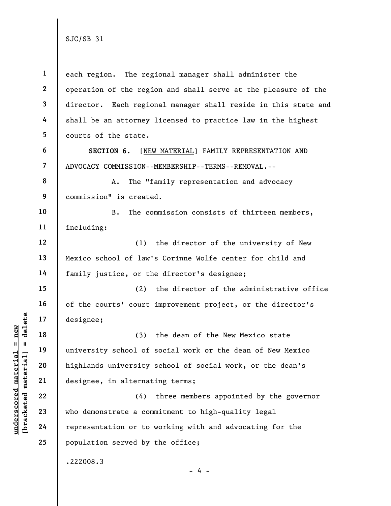understand material material exists a complement of the same of the same of the same of the same of the same of the same of the same of the same of the same of the same of the same of the same of the same of the same of th 1 2 3 4 5 6 7 8 9 10 11 12 13 14 15 16 17 18 19 20 21 22 23 24 25 each region. The regional manager shall administer the operation of the region and shall serve at the pleasure of the director. Each regional manager shall reside in this state and shall be an attorney licensed to practice law in the highest courts of the state. SECTION 6. [NEW MATERIAL] FAMILY REPRESENTATION AND ADVOCACY COMMISSION--MEMBERSHIP--TERMS--REMOVAL.-- A. The "family representation and advocacy commission" is created. B. The commission consists of thirteen members, including: (1) the director of the university of New Mexico school of law's Corinne Wolfe center for child and family justice, or the director's designee; (2) the director of the administrative office of the courts' court improvement project, or the director's designee; (3) the dean of the New Mexico state university school of social work or the dean of New Mexico highlands university school of social work, or the dean's designee, in alternating terms; (4) three members appointed by the governor who demonstrate a commitment to high-quality legal representation or to working with and advocating for the population served by the office; .222008.3  $- 4 -$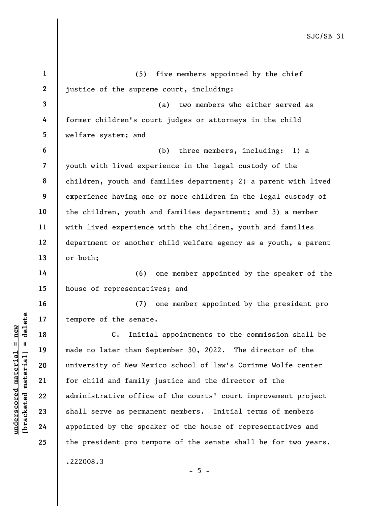underscored material = new [bracketed material] = delete 1 2 3 4 5 6 7 8 9 10 11 12 13 14 15 16 17 18 19 20 21 22 23 24 25 (5) five members appointed by the chief justice of the supreme court, including: (a) two members who either served as former children's court judges or attorneys in the child welfare system; and (b) three members, including: 1) a youth with lived experience in the legal custody of the children, youth and families department; 2) a parent with lived experience having one or more children in the legal custody of the children, youth and families department; and 3) a member with lived experience with the children, youth and families department or another child welfare agency as a youth, a parent or both; (6) one member appointed by the speaker of the house of representatives; and (7) one member appointed by the president pro tempore of the senate. C. Initial appointments to the commission shall be made no later than September 30, 2022. The director of the university of New Mexico school of law's Corinne Wolfe center for child and family justice and the director of the administrative office of the courts' court improvement project shall serve as permanent members. Initial terms of members appointed by the speaker of the house of representatives and the president pro tempore of the senate shall be for two years. .222008.3  $- 5 -$ 

SJC/SB 31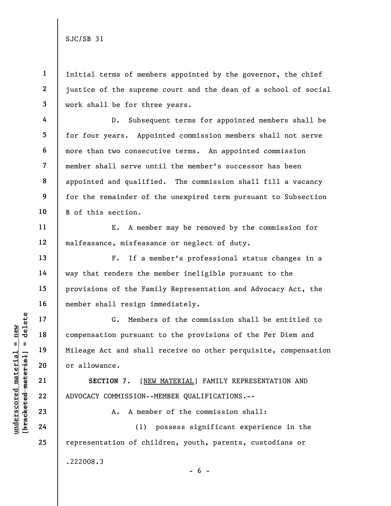4

5

6

7

8

9

10

11

12

13

14

15

16

17

18

19

20

21

22

23

24

25

1 2 3 Initial terms of members appointed by the governor, the chief justice of the supreme court and the dean of a school of social work shall be for three years.

D. Subsequent terms for appointed members shall be for four years. Appointed commission members shall not serve more than two consecutive terms. An appointed commission member shall serve until the member's successor has been appointed and qualified. The commission shall fill a vacancy for the remainder of the unexpired term pursuant to Subsection B of this section.

E. A member may be removed by the commission for malfeasance, misfeasance or neglect of duty.

F. If a member's professional status changes in a way that renders the member ineligible pursuant to the provisions of the Family Representation and Advocacy Act, the member shall resign immediately.

UNDER 17<br>
UNDER 18<br>
UNIE 19<br>
UNIE 19<br>
UNIE 19<br>
UNIE 19<br>
UNIE 19<br>
OF ALOVACY COMMISSION---<br>
COMMISSION---<br>
COMMISSION---<br>
COMMISSION---<br>
COMMISSION---<br>
COMMISSION---<br>
COMMISSION---<br>
COMMISSION---<br>
COMMISSION---<br>
COMMISSION-G. Members of the commission shall be entitled to compensation pursuant to the provisions of the Per Diem and Mileage Act and shall receive no other perquisite, compensation or allowance.

SECTION 7. [NEW MATERIAL] FAMILY REPRESENTATION AND ADVOCACY COMMISSION--MEMBER QUALIFICATIONS.--

A. A member of the commission shall:

(1) possess significant experience in the representation of children, youth, parents, custodians or .222008.3  $- 6 -$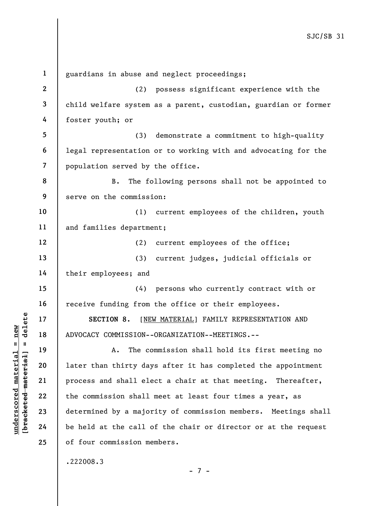UN SECTION 8. [NET ]<br>
17 18 ADVOCACY COMMISSION---<br>
19 19 A. The commission---<br>
21 process and shall ele<br>
22 the commission shall<br>
23 determined by a major<br>
24 be held at the call c 1 2 3 4 5 6 7 8 9 10 11 12 13 14 15 16 17 18 19 20 21 22 23 24 25 guardians in abuse and neglect proceedings; (2) possess significant experience with the child welfare system as a parent, custodian, guardian or former foster youth; or (3) demonstrate a commitment to high-quality legal representation or to working with and advocating for the population served by the office. B. The following persons shall not be appointed to serve on the commission: (1) current employees of the children, youth and families department; (2) current employees of the office; (3) current judges, judicial officials or their employees; and (4) persons who currently contract with or receive funding from the office or their employees. SECTION 8. [NEW MATERIAL] FAMILY REPRESENTATION AND ADVOCACY COMMISSION--ORGANIZATION--MEETINGS.-- A. The commission shall hold its first meeting no later than thirty days after it has completed the appointment process and shall elect a chair at that meeting. Thereafter, the commission shall meet at least four times a year, as determined by a majority of commission members. Meetings shall be held at the call of the chair or director or at the request of four commission members.

.222008.3

- 7 -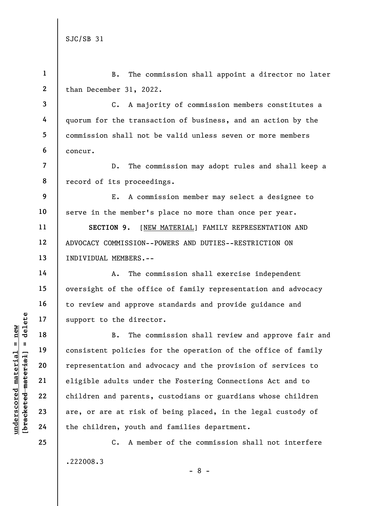understand material material end and the direct<br>
support to the direct<br>  $\begin{array}{c|c|c|c|c} \hline \text{u} & \text{u} & \text{u} & \text{u} & \text{u} \\ \hline \text{u} & \text{u} & \text{u} & \text{u} & \text{u} \\ \hline \text{u} & \text{u} & \text{u} & \text{u} & \text{u} \\ \hline \text{u} & \text{u} & \text{u} & \text{u} & \text{u} \\ \h$ 1 2 3 4 5 6 7 8 9 10 11 12 13 14 15 16 17 18 19 20 21 22 23 24 B. The commission shall appoint a director no later than December 31, 2022. C. A majority of commission members constitutes a quorum for the transaction of business, and an action by the commission shall not be valid unless seven or more members concur. D. The commission may adopt rules and shall keep a record of its proceedings. E. A commission member may select a designee to serve in the member's place no more than once per year. SECTION 9. [NEW MATERIAL] FAMILY REPRESENTATION AND ADVOCACY COMMISSION--POWERS AND DUTIES--RESTRICTION ON INDIVIDUAL MEMBERS.-- A. The commission shall exercise independent oversight of the office of family representation and advocacy to review and approve standards and provide guidance and support to the director. B. The commission shall review and approve fair and consistent policies for the operation of the office of family representation and advocacy and the provision of services to eligible adults under the Fostering Connections Act and to children and parents, custodians or guardians whose children are, or are at risk of being placed, in the legal custody of the children, youth and families department.

> C. A member of the commission shall not interfere .222008.3 - 8 -

25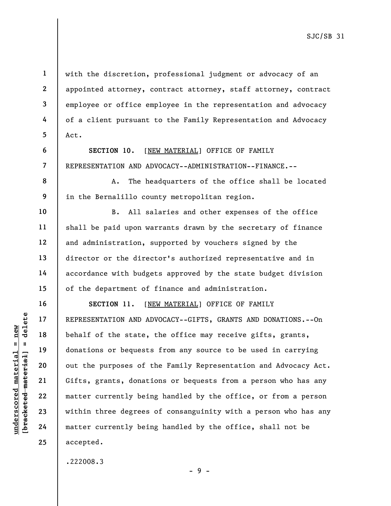with the discretion, professional judgment or advocacy of an appointed attorney, contract attorney, staff attorney, contract employee or office employee in the representation and advocacy of a client pursuant to the Family Representation and Advocacy Act.

SECTION 10. [NEW MATERIAL] OFFICE OF FAMILY REPRESENTATION AND ADVOCACY--ADMINISTRATION--FINANCE.--

A. The headquarters of the office shall be located in the Bernalillo county metropolitan region.

B. All salaries and other expenses of the office shall be paid upon warrants drawn by the secretary of finance and administration, supported by vouchers signed by the director or the director's authorized representative and in accordance with budgets approved by the state budget division of the department of finance and administration.

under 17<br>
= 18<br>
= 18<br>
= 19<br>
= 19<br>
= 19<br>
= 19<br>
= 19<br>
= 19<br>
= 19<br>
= 19<br>
= 19<br>
= 19<br>
= 19<br>
= 19<br>
= 19<br>
= 19<br>
= 19<br>
= 19<br>
= 19<br>
= 19<br>
= 19<br>
= 19<br>
= 19<br>
= 19<br>
= 19<br>
= 19<br>
= 19<br>
= 19<br>
= 19<br>
= 19<br>
= 19<br>
= 19<br>
= 19<br>
= 19<br>
= 19<br>
= SECTION 11. [NEW MATERIAL] OFFICE OF FAMILY REPRESENTATION AND ADVOCACY--GIFTS, GRANTS AND DONATIONS.--On behalf of the state, the office may receive gifts, grants, donations or bequests from any source to be used in carrying out the purposes of the Family Representation and Advocacy Act. Gifts, grants, donations or bequests from a person who has any matter currently being handled by the office, or from a person within three degrees of consanguinity with a person who has any matter currently being handled by the office, shall not be accepted.

- 9 -

.222008.3

1

2

3

4

5

6

7

8

9

10

11

12

13

14

15

16

17

18

19

20

21

22

23

24

25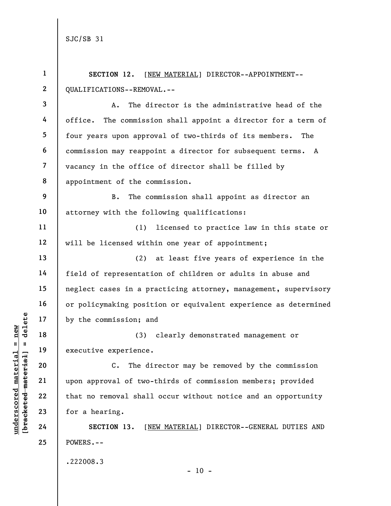Understand material experience.<br>
The new two is the commission; and<br>  $\begin{array}{ccc}\n\frac{1}{2} & \frac{1}{2} & \frac{1}{2} \\
\frac{1}{2} & \frac{1}{2} & \frac{1}{2} \\
\frac{1}{2} & \frac{1}{2} & \frac{1}{2} \\
\frac{1}{2} & \frac{1}{2} & \frac{1}{2} \\
\frac{1}{2} & \frac{1}{2} & \frac{1}{2} \\
\frac{1}{2} & \frac{1}{2} & \frac{1}{2} \\$ 1 2 3 4 5 6 7 8 9 10 11 12 13 14 15 16 17 18 19 20 21 22 23 24 25 SECTION 12. [NEW MATERIAL] DIRECTOR--APPOINTMENT-- QUALIFICATIONS--REMOVAL.-- A. The director is the administrative head of the office. The commission shall appoint a director for a term of four years upon approval of two-thirds of its members. The commission may reappoint a director for subsequent terms. A vacancy in the office of director shall be filled by appointment of the commission. B. The commission shall appoint as director an attorney with the following qualifications: (1) licensed to practice law in this state or will be licensed within one year of appointment; (2) at least five years of experience in the field of representation of children or adults in abuse and neglect cases in a practicing attorney, management, supervisory or policymaking position or equivalent experience as determined by the commission; and (3) clearly demonstrated management or executive experience. C. The director may be removed by the commission upon approval of two-thirds of commission members; provided that no removal shall occur without notice and an opportunity for a hearing. SECTION 13. [NEW MATERIAL] DIRECTOR--GENERAL DUTIES AND POWERS.-- .222008.3

 $- 10 -$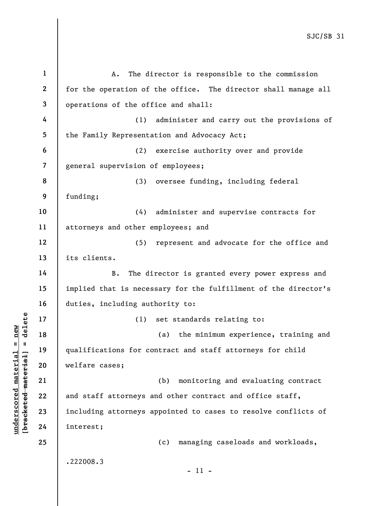underscored materials of the set of the set of the set of the set of the set of the set of the set of the set of the set of the set of the set of the set of the set of the set of the set of the set of the set of the set of 1 2 3 4 5 6 7 8 9 10 11 12 13 14 15 16 17 18 19 20 21 22 23 24 25 A. The director is responsible to the commission for the operation of the office. The director shall manage all operations of the office and shall: (1) administer and carry out the provisions of the Family Representation and Advocacy Act; (2) exercise authority over and provide general supervision of employees; (3) oversee funding, including federal funding; (4) administer and supervise contracts for attorneys and other employees; and (5) represent and advocate for the office and its clients. B. The director is granted every power express and implied that is necessary for the fulfillment of the director's duties, including authority to: (1) set standards relating to: (a) the minimum experience, training and qualifications for contract and staff attorneys for child welfare cases; (b) monitoring and evaluating contract and staff attorneys and other contract and office staff, including attorneys appointed to cases to resolve conflicts of interest; (c) managing caseloads and workloads, .222008.3 - 11 -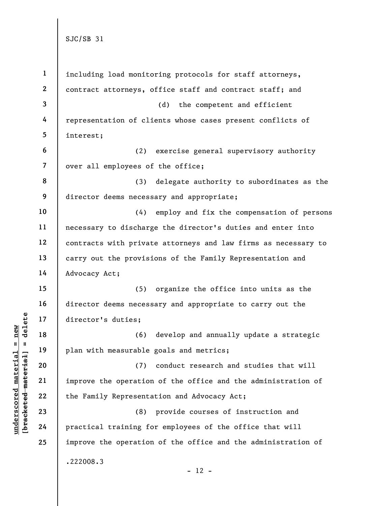|                        | $\mathbf{1}$   | including load monitoring protocols for staff attorneys,       |
|------------------------|----------------|----------------------------------------------------------------|
|                        | $\mathbf{2}$   | contract attorneys, office staff and contract staff; and       |
|                        | $\mathbf{3}$   | (d)<br>the competent and efficient                             |
|                        | 4              | representation of clients whose cases present conflicts of     |
|                        | 5              | interest;                                                      |
|                        | 6              | (2)<br>exercise general supervisory authority                  |
|                        | $\overline{7}$ | over all employees of the office;                              |
|                        | 8              | (3)<br>delegate authority to subordinates as the               |
|                        | 9              | director deems necessary and appropriate;                      |
|                        | 10             | employ and fix the compensation of persons<br>(4)              |
|                        | 11             | necessary to discharge the director's duties and enter into    |
|                        | 12             | contracts with private attorneys and law firms as necessary to |
|                        | 13             | carry out the provisions of the Family Representation and      |
|                        | 14             | Advocacy Act;                                                  |
|                        | 15             | (5)<br>organize the office into units as the                   |
|                        | 16             | director deems necessary and appropriate to carry out the      |
| delete                 | 17             | director's duties;                                             |
| new<br>$\mathbf{II}$   | 18             | develop and annually update a strategic<br>(6)                 |
| $\mathbf{I}$           | 19             | plan with measurable goals and metrics;                        |
| material               | 20             | (7)<br>conduct research and studies that will                  |
|                        | 21             | improve the operation of the office and the administration of  |
| underscored material   | 22             | the Family Representation and Advocacy Act;                    |
| [ <del>bracketed</del> | 23             | (8)<br>provide courses of instruction and                      |
|                        | 24             | practical training for employees of the office that will       |
|                        | 25             | improve the operation of the office and the administration of  |
|                        |                | .222008.3                                                      |
|                        |                | $-12 -$                                                        |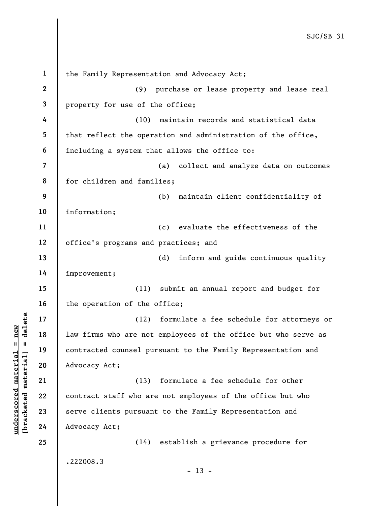underscored the material of the same of the same of the same of the same of the same of the same of the same of the same of the same of the same of the same of the same of the same of the same of the same of the same of th 1 2 3 4 5 6 7 8 9 10 11 12 13 14 15 16 17 18 19 20 21 22 23 24 25 the Family Representation and Advocacy Act; (9) purchase or lease property and lease real property for use of the office; (10) maintain records and statistical data that reflect the operation and administration of the office, including a system that allows the office to: (a) collect and analyze data on outcomes for children and families; (b) maintain client confidentiality of information; (c) evaluate the effectiveness of the office's programs and practices; and (d) inform and guide continuous quality improvement; (11) submit an annual report and budget for the operation of the office; (12) formulate a fee schedule for attorneys or law firms who are not employees of the office but who serve as contracted counsel pursuant to the Family Representation and Advocacy Act; (13) formulate a fee schedule for other contract staff who are not employees of the office but who serve clients pursuant to the Family Representation and Advocacy Act; (14) establish a grievance procedure for .222008.3  $- 13 -$